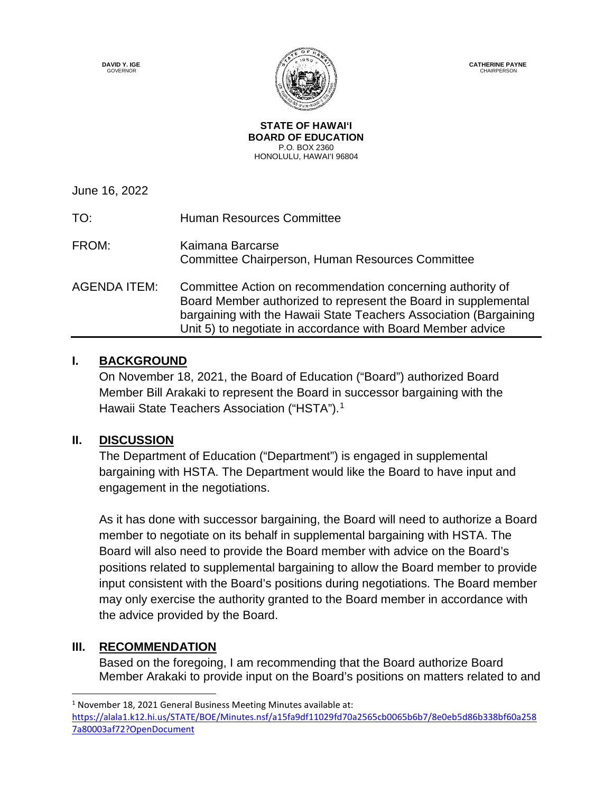**DAVID Y. IGE GOVERNOR** 



**CATHERINE PAYNE CHAIRPERSON** 

**STATE OF HAWAI'I BOARD OF EDUCATION** P.O. BOX 2360 HONOLULU, HAWAI'I 96804

June 16, 2022

TO: Human Resources Committee FROM: Kaimana Barcarse Committee Chairperson, Human Resources Committee AGENDA ITEM: Committee Action on recommendation concerning authority of Board Member authorized to represent the Board in supplemental bargaining with the Hawaii State Teachers Association (Bargaining Unit 5) to negotiate in accordance with Board Member advice

## **I. BACKGROUND**

On November 18, 2021, the Board of Education ("Board") authorized Board Member Bill Arakaki to represent the Board in successor bargaining with the Hawaii State Teachers Association ("HSTA").<sup>[1](#page-0-0)</sup>

## **II. DISCUSSION**

The Department of Education ("Department") is engaged in supplemental bargaining with HSTA. The Department would like the Board to have input and engagement in the negotiations.

As it has done with successor bargaining, the Board will need to authorize a Board member to negotiate on its behalf in supplemental bargaining with HSTA. The Board will also need to provide the Board member with advice on the Board's positions related to supplemental bargaining to allow the Board member to provide input consistent with the Board's positions during negotiations. The Board member may only exercise the authority granted to the Board member in accordance with the advice provided by the Board.

## **III. RECOMMENDATION**

 $\overline{a}$ 

Based on the foregoing, I am recommending that the Board authorize Board Member Arakaki to provide input on the Board's positions on matters related to and

<span id="page-0-0"></span><sup>&</sup>lt;sup>1</sup> November 18, 2021 General Business Meeting Minutes available at: [https://alala1.k12.hi.us/STATE/BOE/Minutes.nsf/a15fa9df11029fd70a2565cb0065b6b7/8e0eb5d86b338bf60a258](https://alala1.k12.hi.us/STATE/BOE/Minutes.nsf/a15fa9df11029fd70a2565cb0065b6b7/8e0eb5d86b338bf60a2587a80003af72?OpenDocument) [7a80003af72?OpenDocument](https://alala1.k12.hi.us/STATE/BOE/Minutes.nsf/a15fa9df11029fd70a2565cb0065b6b7/8e0eb5d86b338bf60a2587a80003af72?OpenDocument)